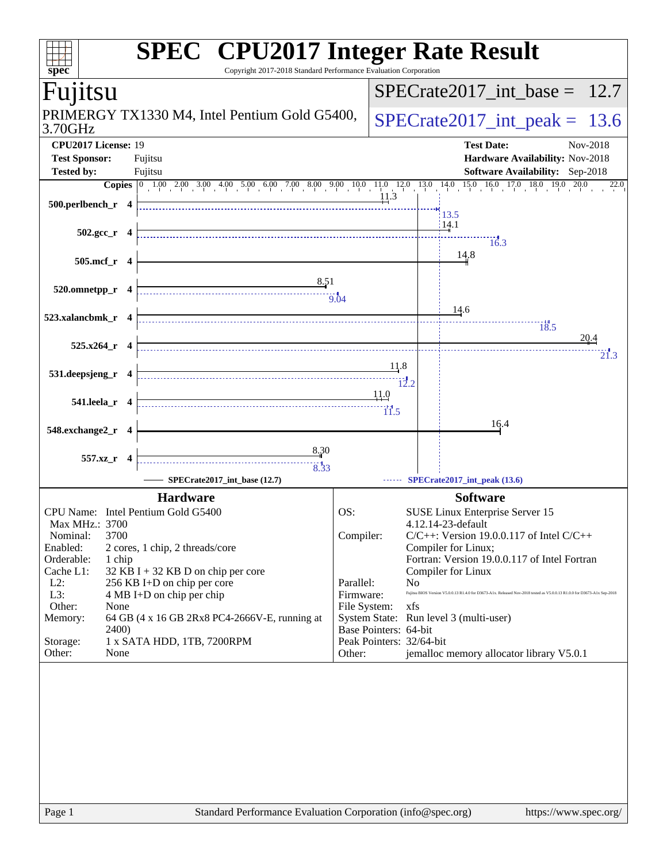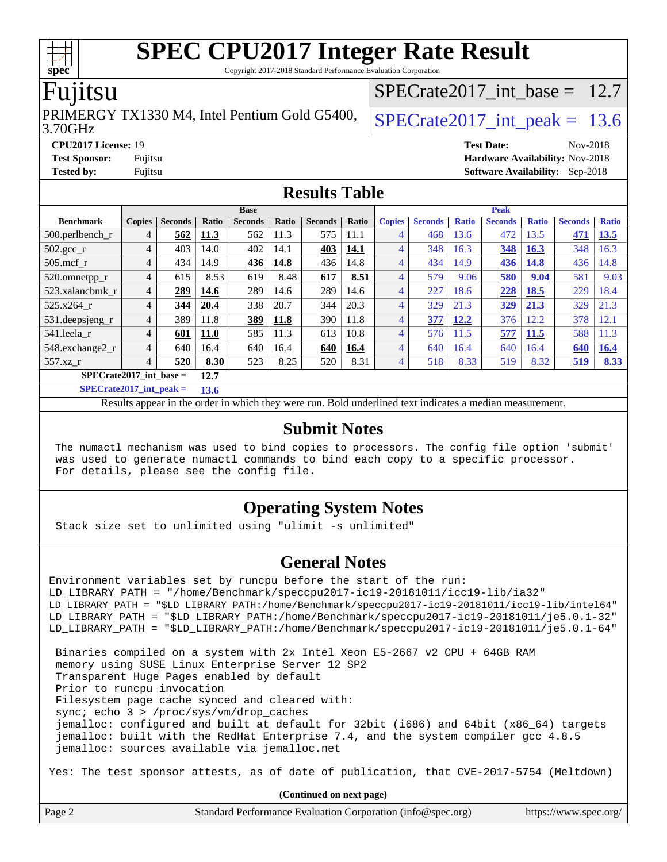Copyright 2017-2018 Standard Performance Evaluation Corporation

### Fujitsu

3.70GHz PRIMERGY TX1330 M4, Intel Pentium Gold G5400,  $\vert$  SPECrate 2017 int peak = 13.6

SPECrate2017 int\_base =  $12.7$ 

**[CPU2017 License:](http://www.spec.org/auto/cpu2017/Docs/result-fields.html#CPU2017License)** 19 **[Test Date:](http://www.spec.org/auto/cpu2017/Docs/result-fields.html#TestDate)** Nov-2018 **[Test Sponsor:](http://www.spec.org/auto/cpu2017/Docs/result-fields.html#TestSponsor)** Fujitsu **[Hardware Availability:](http://www.spec.org/auto/cpu2017/Docs/result-fields.html#HardwareAvailability)** Nov-2018 **[Tested by:](http://www.spec.org/auto/cpu2017/Docs/result-fields.html#Testedby)** Fujitsu **[Software Availability:](http://www.spec.org/auto/cpu2017/Docs/result-fields.html#SoftwareAvailability)** Sep-2018

#### **[Results Table](http://www.spec.org/auto/cpu2017/Docs/result-fields.html#ResultsTable)**

|                                   | <b>Base</b>    |                |             |                | <b>Peak</b> |                |              |                |                |              |                |              |                |              |
|-----------------------------------|----------------|----------------|-------------|----------------|-------------|----------------|--------------|----------------|----------------|--------------|----------------|--------------|----------------|--------------|
| <b>Benchmark</b>                  | <b>Copies</b>  | <b>Seconds</b> | Ratio       | <b>Seconds</b> | Ratio       | <b>Seconds</b> | <b>Ratio</b> | <b>Copies</b>  | <b>Seconds</b> | <b>Ratio</b> | <b>Seconds</b> | <b>Ratio</b> | <b>Seconds</b> | <b>Ratio</b> |
| $500.$ perlbench_r                | 4              | 562            | 11.3        | 562            | 11.3        | 575            | 11.1         | 4              | 468            | 13.6         | 472            | 13.5         | 471            | 13.5         |
| $502.\text{sec}$                  | 4              | 403            | 14.0        | 402            | 14.1        | 403            | 14.1         | 4              | 348            | 16.3         | 348            | 16.3         | 348            | 16.3         |
| $505$ .mcf r                      | 4              | 434            | 14.9        | 436            | 14.8        | 436            | 14.8         | $\overline{4}$ | 434            | 14.9         | 436            | 14.8         | 436            | 14.8         |
| 520.omnetpp_r                     | $\overline{4}$ | 615            | 8.53        | 619            | 8.48        | 617            | 8.51         | 4              | 579            | 9.06         | 580            | 9.04         | 581            | 9.03         |
| 523.xalancbmk r                   | 4              | 289            | 14.6        | 289            | 14.6        | 289            | 14.6         | 4              | 227            | 18.6         | 228            | 18.5         | 229            | 18.4         |
| 525.x264 r                        | 4              | 344            | 20.4        | 338            | 20.7        | 344            | 20.3         | 4              | 329            | 21.3         | 329            | 21.3         | 329            | 21.3         |
| 531.deepsjeng_r                   | 4              | 389            | 11.8        | 389            | 11.8        | 390            | 11.8         | 4              | 377            | 12.2         | 376            | 12.2         | 378            | 12.1         |
| 541.leela r                       | 4              | 601            | <b>11.0</b> | 585            | 11.3        | 613            | 10.8         | 4              | 576            | 11.5         | 577            | 11.5         | 588            | 11.3         |
| 548.exchange2_r                   | 4              | 640            | 16.4        | 640            | 16.4        | 640            | 16.4         | 4              | 640            | 16.4         | 640            | 16.4         | 640            | 16.4         |
| 557.xz r                          | 4              | 520            | 8.30        | 523            | 8.25        | 520            | 8.31         | 4              | 518            | 8.33         | 519            | 8.32         | 519            | 8.33         |
| $SPECrate2017$ int base =<br>12.7 |                |                |             |                |             |                |              |                |                |              |                |              |                |              |

**[SPECrate2017\\_int\\_peak =](http://www.spec.org/auto/cpu2017/Docs/result-fields.html#SPECrate2017intpeak) 13.6**

Results appear in the [order in which they were run.](http://www.spec.org/auto/cpu2017/Docs/result-fields.html#RunOrder) Bold underlined text [indicates a median measurement.](http://www.spec.org/auto/cpu2017/Docs/result-fields.html#Median)

#### **[Submit Notes](http://www.spec.org/auto/cpu2017/Docs/result-fields.html#SubmitNotes)**

 The numactl mechanism was used to bind copies to processors. The config file option 'submit' was used to generate numactl commands to bind each copy to a specific processor. For details, please see the config file.

#### **[Operating System Notes](http://www.spec.org/auto/cpu2017/Docs/result-fields.html#OperatingSystemNotes)**

Stack size set to unlimited using "ulimit -s unlimited"

#### **[General Notes](http://www.spec.org/auto/cpu2017/Docs/result-fields.html#GeneralNotes)**

Environment variables set by runcpu before the start of the run: LD\_LIBRARY\_PATH = "/home/Benchmark/speccpu2017-ic19-20181011/icc19-lib/ia32" LD\_LIBRARY\_PATH = "\$LD\_LIBRARY\_PATH:/home/Benchmark/speccpu2017-ic19-20181011/icc19-lib/intel64" LD\_LIBRARY\_PATH = "\$LD\_LIBRARY\_PATH:/home/Benchmark/speccpu2017-ic19-20181011/je5.0.1-32" LD\_LIBRARY\_PATH = "\$LD\_LIBRARY\_PATH:/home/Benchmark/speccpu2017-ic19-20181011/je5.0.1-64" Binaries compiled on a system with 2x Intel Xeon E5-2667 v2 CPU + 64GB RAM memory using SUSE Linux Enterprise Server 12 SP2 Transparent Huge Pages enabled by default Prior to runcpu invocation Filesystem page cache synced and cleared with: sync; echo 3 > /proc/sys/vm/drop\_caches jemalloc: configured and built at default for 32bit (i686) and 64bit (x86\_64) targets jemalloc: built with the RedHat Enterprise 7.4, and the system compiler gcc 4.8.5 jemalloc: sources available via jemalloc.net Yes: The test sponsor attests, as of date of publication, that CVE-2017-5754 (Meltdown)

**(Continued on next page)**

| Page 2 | Standard Performance Evaluation Corporation (info@spec.org) | https://www.spec.org/ |
|--------|-------------------------------------------------------------|-----------------------|
|--------|-------------------------------------------------------------|-----------------------|

**[spec](http://www.spec.org/)**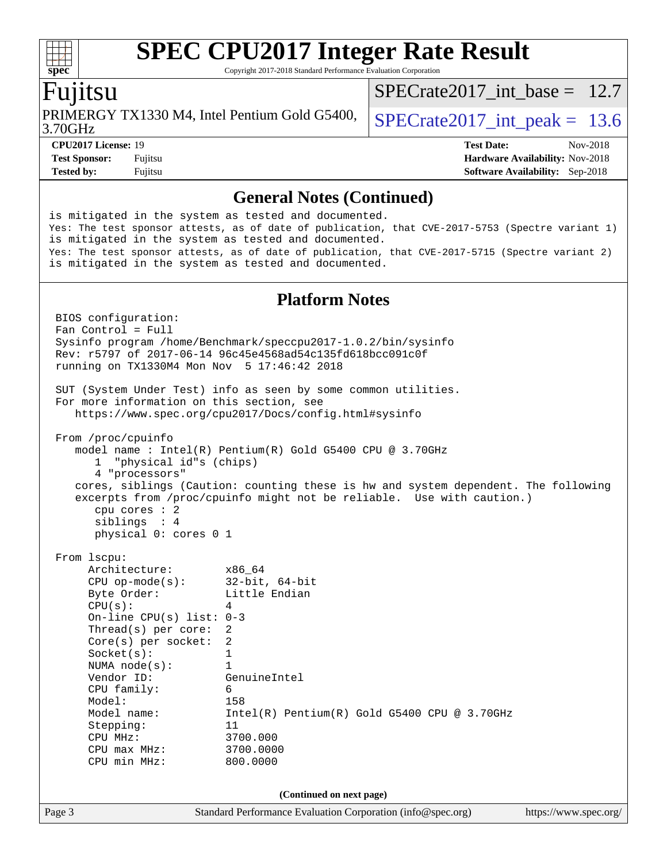Copyright 2017-2018 Standard Performance Evaluation Corporation

### Fujitsu

3.70GHz PRIMERGY TX1330 M4, Intel Pentium Gold G5400,  $\vert$  SPECrate 2017 int peak = 13.6

[SPECrate2017\\_int\\_base =](http://www.spec.org/auto/cpu2017/Docs/result-fields.html#SPECrate2017intbase) 12.7

**[CPU2017 License:](http://www.spec.org/auto/cpu2017/Docs/result-fields.html#CPU2017License)** 19 **[Test Date:](http://www.spec.org/auto/cpu2017/Docs/result-fields.html#TestDate)** Nov-2018 **[Test Sponsor:](http://www.spec.org/auto/cpu2017/Docs/result-fields.html#TestSponsor)** Fujitsu **Fundal** Fujitsu **[Hardware Availability:](http://www.spec.org/auto/cpu2017/Docs/result-fields.html#HardwareAvailability)** Nov-2018 **[Tested by:](http://www.spec.org/auto/cpu2017/Docs/result-fields.html#Testedby)** Fujitsu **[Software Availability:](http://www.spec.org/auto/cpu2017/Docs/result-fields.html#SoftwareAvailability)** Sep-2018

#### **[General Notes \(Continued\)](http://www.spec.org/auto/cpu2017/Docs/result-fields.html#GeneralNotes)**

Page 3 Standard Performance Evaluation Corporation [\(info@spec.org\)](mailto:info@spec.org) <https://www.spec.org/> is mitigated in the system as tested and documented. Yes: The test sponsor attests, as of date of publication, that CVE-2017-5753 (Spectre variant 1) is mitigated in the system as tested and documented. Yes: The test sponsor attests, as of date of publication, that CVE-2017-5715 (Spectre variant 2) is mitigated in the system as tested and documented. **[Platform Notes](http://www.spec.org/auto/cpu2017/Docs/result-fields.html#PlatformNotes)** BIOS configuration: Fan Control = Full Sysinfo program /home/Benchmark/speccpu2017-1.0.2/bin/sysinfo Rev: r5797 of 2017-06-14 96c45e4568ad54c135fd618bcc091c0f running on TX1330M4 Mon Nov 5 17:46:42 2018 SUT (System Under Test) info as seen by some common utilities. For more information on this section, see <https://www.spec.org/cpu2017/Docs/config.html#sysinfo> From /proc/cpuinfo model name : Intel(R) Pentium(R) Gold G5400 CPU @ 3.70GHz 1 "physical id"s (chips) 4 "processors" cores, siblings (Caution: counting these is hw and system dependent. The following excerpts from /proc/cpuinfo might not be reliable. Use with caution.) cpu cores : 2 siblings : 4 physical 0: cores 0 1 From lscpu: Architecture: x86\_64 CPU op-mode(s): 32-bit, 64-bit Byte Order: Little Endian  $CPU(s):$  4 On-line CPU(s) list: 0-3 Thread(s) per core: 2 Core(s) per socket: 2 Socket(s): 1 NUMA node(s): 1 Vendor ID: GenuineIntel CPU family: 6 Model: 158<br>Model name: 1158 Intel(R) Pentium(R) Gold G5400 CPU @ 3.70GHz Stepping: 11 CPU MHz: 3700.000 CPU max MHz: 3700.0000 CPU min MHz: 800.0000 **(Continued on next page)**

 $\pm\pm\prime$ **[spec](http://www.spec.org/)**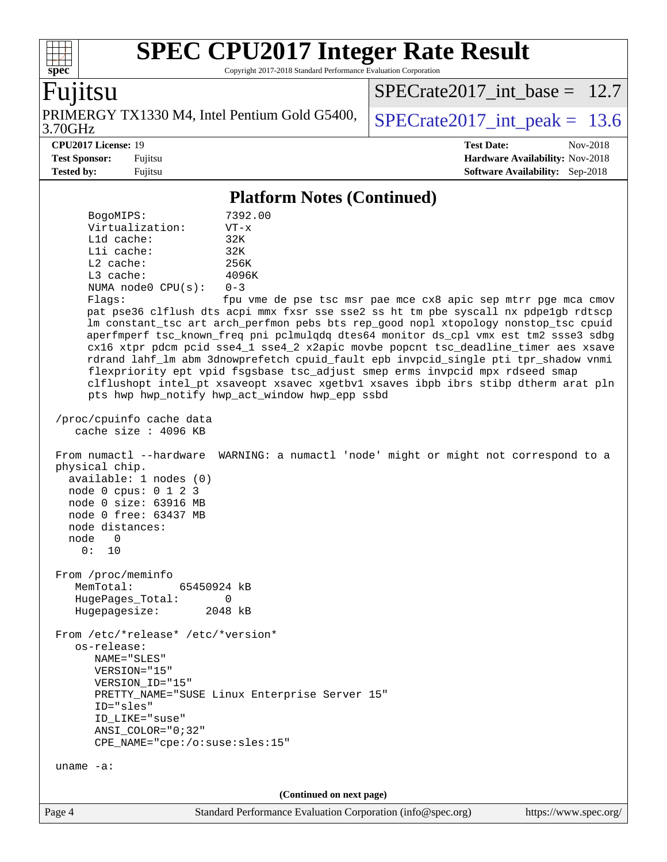Copyright 2017-2018 Standard Performance Evaluation Corporation

**[spec](http://www.spec.org/)** Fujitsu 3.70GHz PRIMERGY TX1330 M4, Intel Pentium Gold G5400,  $\vert$  SPECrate 2017 int peak = 13.6 [SPECrate2017\\_int\\_base =](http://www.spec.org/auto/cpu2017/Docs/result-fields.html#SPECrate2017intbase) 12.7 **[CPU2017 License:](http://www.spec.org/auto/cpu2017/Docs/result-fields.html#CPU2017License)** 19 **[Test Date:](http://www.spec.org/auto/cpu2017/Docs/result-fields.html#TestDate)** Nov-2018 **[Test Sponsor:](http://www.spec.org/auto/cpu2017/Docs/result-fields.html#TestSponsor)** Fujitsu **[Hardware Availability:](http://www.spec.org/auto/cpu2017/Docs/result-fields.html#HardwareAvailability)** Nov-2018 **[Tested by:](http://www.spec.org/auto/cpu2017/Docs/result-fields.html#Testedby)** Fujitsu **[Software Availability:](http://www.spec.org/auto/cpu2017/Docs/result-fields.html#SoftwareAvailability)** Sep-2018 **[Platform Notes \(Continued\)](http://www.spec.org/auto/cpu2017/Docs/result-fields.html#PlatformNotes)**

 BogoMIPS: 7392.00 Virtualization: VT-x L1d cache: 32K L1i cache: 32K L2 cache: 256K L3 cache: 4096K NUMA node0 CPU(s): 0-3 Flags: fpu vme de pse tsc msr pae mce cx8 apic sep mtrr pge mca cmov pat pse36 clflush dts acpi mmx fxsr sse sse2 ss ht tm pbe syscall nx pdpe1gb rdtscp lm constant\_tsc art arch\_perfmon pebs bts rep\_good nopl xtopology nonstop\_tsc cpuid aperfmperf tsc\_known\_freq pni pclmulqdq dtes64 monitor ds\_cpl vmx est tm2 ssse3 sdbg cx16 xtpr pdcm pcid sse4\_1 sse4\_2 x2apic movbe popcnt tsc\_deadline\_timer aes xsave rdrand lahf\_lm abm 3dnowprefetch cpuid\_fault epb invpcid\_single pti tpr\_shadow vnmi flexpriority ept vpid fsgsbase tsc\_adjust smep erms invpcid mpx rdseed smap clflushopt intel\_pt xsaveopt xsavec xgetbv1 xsaves ibpb ibrs stibp dtherm arat pln pts hwp hwp\_notify hwp\_act\_window hwp\_epp ssbd /proc/cpuinfo cache data cache size : 4096 KB From numactl --hardware WARNING: a numactl 'node' might or might not correspond to a physical chip. available: 1 nodes (0) node 0 cpus: 0 1 2 3 node 0 size: 63916 MB node 0 free: 63437 MB node distances: node 0 0: 10 From /proc/meminfo MemTotal: 65450924 kB HugePages\_Total: 0 Hugepagesize: 2048 kB From /etc/\*release\* /etc/\*version\* os-release: NAME="SLES" VERSION="15" VERSION\_ID="15" PRETTY\_NAME="SUSE Linux Enterprise Server 15" ID="sles" ID\_LIKE="suse" ANSI\_COLOR="0;32" CPE\_NAME="cpe:/o:suse:sles:15" uname -a: **(Continued on next page)**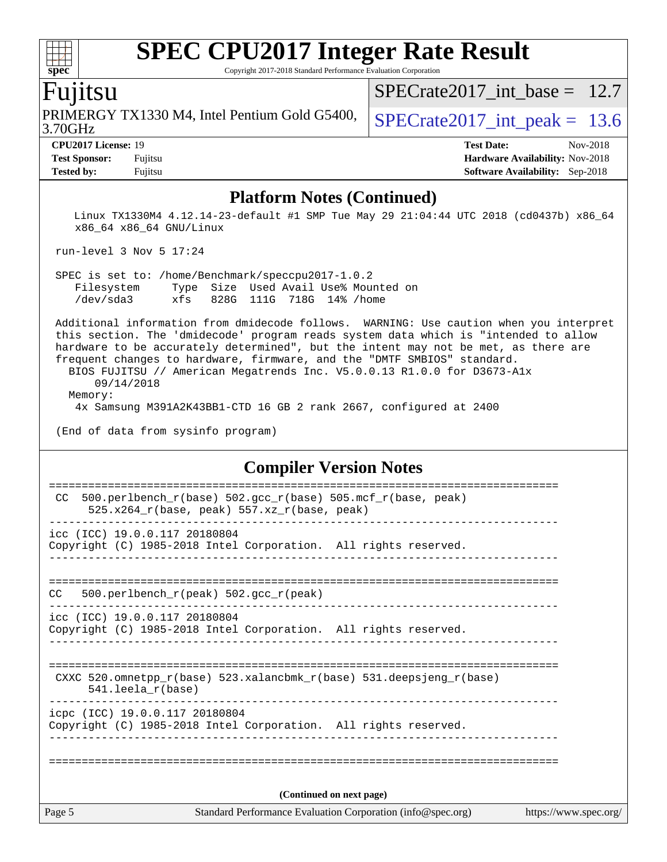Copyright 2017-2018 Standard Performance Evaluation Corporation

### Fujitsu

3.70GHz PRIMERGY TX1330 M4, Intel Pentium Gold G5400,  $\vert$  SPECrate 2017 int peak = 13.6

SPECrate2017 int\_base =  $12.7$ 

**[CPU2017 License:](http://www.spec.org/auto/cpu2017/Docs/result-fields.html#CPU2017License)** 19 **[Test Date:](http://www.spec.org/auto/cpu2017/Docs/result-fields.html#TestDate)** Nov-2018 **[Test Sponsor:](http://www.spec.org/auto/cpu2017/Docs/result-fields.html#TestSponsor)** Fujitsu **[Hardware Availability:](http://www.spec.org/auto/cpu2017/Docs/result-fields.html#HardwareAvailability)** Nov-2018 **[Tested by:](http://www.spec.org/auto/cpu2017/Docs/result-fields.html#Testedby)** Fujitsu **[Software Availability:](http://www.spec.org/auto/cpu2017/Docs/result-fields.html#SoftwareAvailability)** Sep-2018

#### **[Platform Notes \(Continued\)](http://www.spec.org/auto/cpu2017/Docs/result-fields.html#PlatformNotes)**

 Linux TX1330M4 4.12.14-23-default #1 SMP Tue May 29 21:04:44 UTC 2018 (cd0437b) x86\_64 x86\_64 x86\_64 GNU/Linux

run-level 3 Nov 5 17:24

 SPEC is set to: /home/Benchmark/speccpu2017-1.0.2 Filesystem Type Size Used Avail Use% Mounted on /dev/sda3 xfs 828G 111G 718G 14% /home

 Additional information from dmidecode follows. WARNING: Use caution when you interpret this section. The 'dmidecode' program reads system data which is "intended to allow hardware to be accurately determined", but the intent may not be met, as there are frequent changes to hardware, firmware, and the "DMTF SMBIOS" standard.

 BIOS FUJITSU // American Megatrends Inc. V5.0.0.13 R1.0.0 for D3673-A1x 09/14/2018 Memory:

4x Samsung M391A2K43BB1-CTD 16 GB 2 rank 2667, configured at 2400

(End of data from sysinfo program)

#### **[Compiler Version Notes](http://www.spec.org/auto/cpu2017/Docs/result-fields.html#CompilerVersionNotes)**

| Page 5                        | Standard Performance Evaluation Corporation (info@spec.org)                                                  | https://www.spec.org/ |
|-------------------------------|--------------------------------------------------------------------------------------------------------------|-----------------------|
|                               | (Continued on next page)                                                                                     |                       |
|                               |                                                                                                              |                       |
|                               | icpc (ICC) 19.0.0.117 20180804<br>Copyright (C) 1985-2018 Intel Corporation. All rights reserved.            |                       |
|                               |                                                                                                              |                       |
| $541.$ leela $r(base)$        | CXXC 520.omnetpp_r(base) 523.xalancbmk_r(base) 531.deepsjeng_r(base)                                         |                       |
|                               |                                                                                                              |                       |
| icc (ICC) 19.0.0.117 20180804 | Copyright (C) 1985-2018 Intel Corporation. All rights reserved.                                              |                       |
| CC.                           | 500.perlbench $r(\text{peak})$ 502.gcc $r(\text{peak})$                                                      |                       |
|                               |                                                                                                              |                       |
| icc (ICC) 19.0.0.117 20180804 | Copyright (C) 1985-2018 Intel Corporation. All rights reserved.                                              |                       |
| CC.                           | 500.perlbench_r(base) 502.gcc_r(base) 505.mcf_r(base, peak)<br>$525.x264_r(base, peak) 557.xz_r(base, peak)$ |                       |
|                               |                                                                                                              |                       |

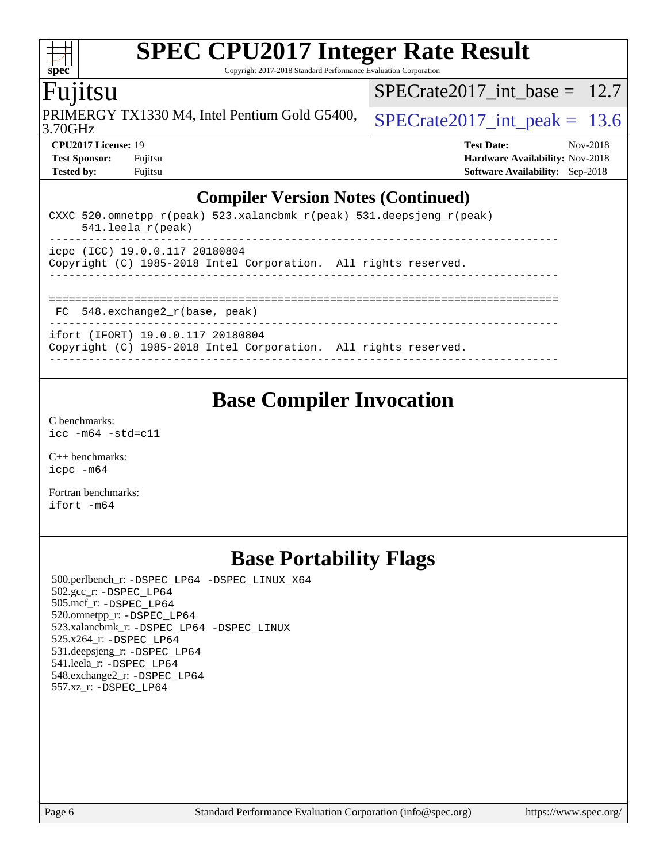Copyright 2017-2018 Standard Performance Evaluation Corporation

## Fujitsu

**[spec](http://www.spec.org/)**

 $\pm\pm$ 

3.70GHz PRIMERGY TX1330 M4, Intel Pentium Gold G5400,  $\vert$  SPECrate 2017 int peak = 13.6

SPECrate2017 int\_base =  $12.7$ 

**[CPU2017 License:](http://www.spec.org/auto/cpu2017/Docs/result-fields.html#CPU2017License)** 19 **[Test Date:](http://www.spec.org/auto/cpu2017/Docs/result-fields.html#TestDate)** Nov-2018 **[Test Sponsor:](http://www.spec.org/auto/cpu2017/Docs/result-fields.html#TestSponsor)** Fujitsu **[Hardware Availability:](http://www.spec.org/auto/cpu2017/Docs/result-fields.html#HardwareAvailability)** Nov-2018 **[Tested by:](http://www.spec.org/auto/cpu2017/Docs/result-fields.html#Testedby)** Fujitsu **[Software Availability:](http://www.spec.org/auto/cpu2017/Docs/result-fields.html#SoftwareAvailability)** Sep-2018

### **[Compiler Version Notes \(Continued\)](http://www.spec.org/auto/cpu2017/Docs/result-fields.html#CompilerVersionNotes)**

| CXXC 520.omnetpp $r(\text{peak})$ 523.xalancbmk $r(\text{peak})$ 531.deepsjeng $r(\text{peak})$<br>$541.$ leela r(peak) |
|-------------------------------------------------------------------------------------------------------------------------|
| icpc (ICC) 19.0.0.117 20180804<br>Copyright (C) 1985-2018 Intel Corporation. All rights reserved.                       |
| $FC$ 548. exchange2 $r(base, peak)$                                                                                     |
| ifort (IFORT) 19.0.0.117 20180804<br>Copyright (C) 1985-2018 Intel Corporation. All rights reserved.                    |

## **[Base Compiler Invocation](http://www.spec.org/auto/cpu2017/Docs/result-fields.html#BaseCompilerInvocation)**

[C benchmarks](http://www.spec.org/auto/cpu2017/Docs/result-fields.html#Cbenchmarks): [icc -m64 -std=c11](http://www.spec.org/cpu2017/results/res2018q4/cpu2017-20181113-09790.flags.html#user_CCbase_intel_icc_64bit_c11_33ee0cdaae7deeeab2a9725423ba97205ce30f63b9926c2519791662299b76a0318f32ddfffdc46587804de3178b4f9328c46fa7c2b0cd779d7a61945c91cd35)

[C++ benchmarks:](http://www.spec.org/auto/cpu2017/Docs/result-fields.html#CXXbenchmarks) [icpc -m64](http://www.spec.org/cpu2017/results/res2018q4/cpu2017-20181113-09790.flags.html#user_CXXbase_intel_icpc_64bit_4ecb2543ae3f1412ef961e0650ca070fec7b7afdcd6ed48761b84423119d1bf6bdf5cad15b44d48e7256388bc77273b966e5eb805aefd121eb22e9299b2ec9d9)

[Fortran benchmarks](http://www.spec.org/auto/cpu2017/Docs/result-fields.html#Fortranbenchmarks): [ifort -m64](http://www.spec.org/cpu2017/results/res2018q4/cpu2017-20181113-09790.flags.html#user_FCbase_intel_ifort_64bit_24f2bb282fbaeffd6157abe4f878425411749daecae9a33200eee2bee2fe76f3b89351d69a8130dd5949958ce389cf37ff59a95e7a40d588e8d3a57e0c3fd751)

## **[Base Portability Flags](http://www.spec.org/auto/cpu2017/Docs/result-fields.html#BasePortabilityFlags)**

 500.perlbench\_r: [-DSPEC\\_LP64](http://www.spec.org/cpu2017/results/res2018q4/cpu2017-20181113-09790.flags.html#b500.perlbench_r_basePORTABILITY_DSPEC_LP64) [-DSPEC\\_LINUX\\_X64](http://www.spec.org/cpu2017/results/res2018q4/cpu2017-20181113-09790.flags.html#b500.perlbench_r_baseCPORTABILITY_DSPEC_LINUX_X64) 502.gcc\_r: [-DSPEC\\_LP64](http://www.spec.org/cpu2017/results/res2018q4/cpu2017-20181113-09790.flags.html#suite_basePORTABILITY502_gcc_r_DSPEC_LP64) 505.mcf\_r: [-DSPEC\\_LP64](http://www.spec.org/cpu2017/results/res2018q4/cpu2017-20181113-09790.flags.html#suite_basePORTABILITY505_mcf_r_DSPEC_LP64) 520.omnetpp\_r: [-DSPEC\\_LP64](http://www.spec.org/cpu2017/results/res2018q4/cpu2017-20181113-09790.flags.html#suite_basePORTABILITY520_omnetpp_r_DSPEC_LP64) 523.xalancbmk\_r: [-DSPEC\\_LP64](http://www.spec.org/cpu2017/results/res2018q4/cpu2017-20181113-09790.flags.html#suite_basePORTABILITY523_xalancbmk_r_DSPEC_LP64) [-DSPEC\\_LINUX](http://www.spec.org/cpu2017/results/res2018q4/cpu2017-20181113-09790.flags.html#b523.xalancbmk_r_baseCXXPORTABILITY_DSPEC_LINUX) 525.x264\_r: [-DSPEC\\_LP64](http://www.spec.org/cpu2017/results/res2018q4/cpu2017-20181113-09790.flags.html#suite_basePORTABILITY525_x264_r_DSPEC_LP64) 531.deepsjeng\_r: [-DSPEC\\_LP64](http://www.spec.org/cpu2017/results/res2018q4/cpu2017-20181113-09790.flags.html#suite_basePORTABILITY531_deepsjeng_r_DSPEC_LP64) 541.leela\_r: [-DSPEC\\_LP64](http://www.spec.org/cpu2017/results/res2018q4/cpu2017-20181113-09790.flags.html#suite_basePORTABILITY541_leela_r_DSPEC_LP64) 548.exchange2\_r: [-DSPEC\\_LP64](http://www.spec.org/cpu2017/results/res2018q4/cpu2017-20181113-09790.flags.html#suite_basePORTABILITY548_exchange2_r_DSPEC_LP64) 557.xz\_r: [-DSPEC\\_LP64](http://www.spec.org/cpu2017/results/res2018q4/cpu2017-20181113-09790.flags.html#suite_basePORTABILITY557_xz_r_DSPEC_LP64)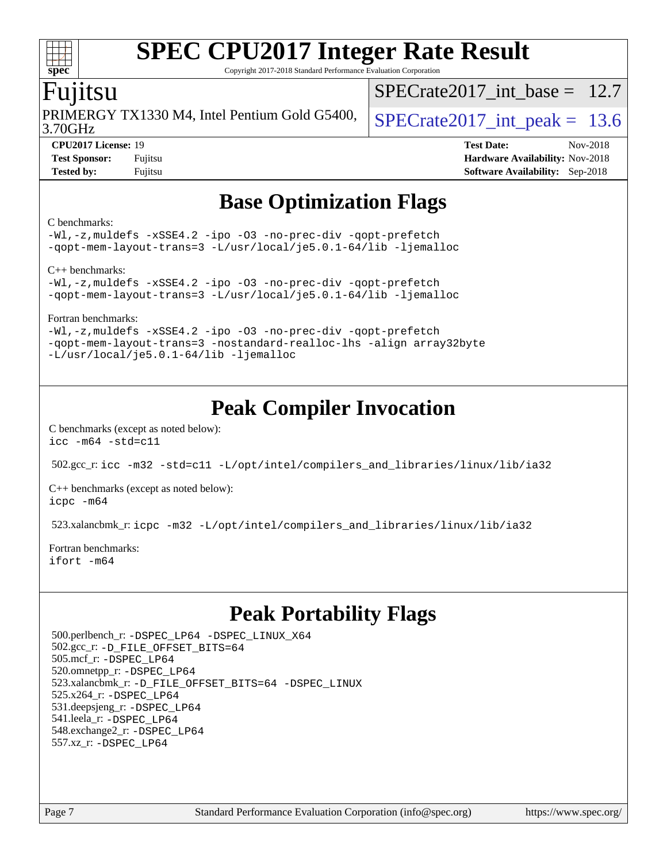Copyright 2017-2018 Standard Performance Evaluation Corporation

### Fujitsu

**[spec](http://www.spec.org/)**

 $+\ +$ 

3.70GHz PRIMERGY TX1330 M4, Intel Pentium Gold G5400,  $\vert$  SPECrate 2017 int peak = 13.6

SPECrate2017 int\_base =  $12.7$ 

**[CPU2017 License:](http://www.spec.org/auto/cpu2017/Docs/result-fields.html#CPU2017License)** 19 **[Test Date:](http://www.spec.org/auto/cpu2017/Docs/result-fields.html#TestDate)** Nov-2018 **[Test Sponsor:](http://www.spec.org/auto/cpu2017/Docs/result-fields.html#TestSponsor)** Fujitsu **Fundal** Fujitsu **[Hardware Availability:](http://www.spec.org/auto/cpu2017/Docs/result-fields.html#HardwareAvailability)** Nov-2018 **[Tested by:](http://www.spec.org/auto/cpu2017/Docs/result-fields.html#Testedby)** Fujitsu **[Software Availability:](http://www.spec.org/auto/cpu2017/Docs/result-fields.html#SoftwareAvailability)** Sep-2018

## **[Base Optimization Flags](http://www.spec.org/auto/cpu2017/Docs/result-fields.html#BaseOptimizationFlags)**

#### [C benchmarks](http://www.spec.org/auto/cpu2017/Docs/result-fields.html#Cbenchmarks):

[-Wl,-z,muldefs](http://www.spec.org/cpu2017/results/res2018q4/cpu2017-20181113-09790.flags.html#user_CCbase_link_force_multiple1_b4cbdb97b34bdee9ceefcfe54f4c8ea74255f0b02a4b23e853cdb0e18eb4525ac79b5a88067c842dd0ee6996c24547a27a4b99331201badda8798ef8a743f577) [-xSSE4.2](http://www.spec.org/cpu2017/results/res2018q4/cpu2017-20181113-09790.flags.html#user_CCbase_f-xSSE42_d85b2ac37ddc90662d11f1a4a8dc959d40ee6b8c1b95cdec45efdeb6594938334ecec49699063ec518cad6ffb0ae5f89c6821e9beeb549020603d53f71a41bf5) [-ipo](http://www.spec.org/cpu2017/results/res2018q4/cpu2017-20181113-09790.flags.html#user_CCbase_f-ipo) [-O3](http://www.spec.org/cpu2017/results/res2018q4/cpu2017-20181113-09790.flags.html#user_CCbase_f-O3) [-no-prec-div](http://www.spec.org/cpu2017/results/res2018q4/cpu2017-20181113-09790.flags.html#user_CCbase_f-no-prec-div) [-qopt-prefetch](http://www.spec.org/cpu2017/results/res2018q4/cpu2017-20181113-09790.flags.html#user_CCbase_f-qopt-prefetch) [-qopt-mem-layout-trans=3](http://www.spec.org/cpu2017/results/res2018q4/cpu2017-20181113-09790.flags.html#user_CCbase_f-qopt-mem-layout-trans_de80db37974c74b1f0e20d883f0b675c88c3b01e9d123adea9b28688d64333345fb62bc4a798493513fdb68f60282f9a726aa07f478b2f7113531aecce732043) [-L/usr/local/je5.0.1-64/lib](http://www.spec.org/cpu2017/results/res2018q4/cpu2017-20181113-09790.flags.html#user_CCbase_jemalloc_link_path64_4b10a636b7bce113509b17f3bd0d6226c5fb2346b9178c2d0232c14f04ab830f976640479e5c33dc2bcbbdad86ecfb6634cbbd4418746f06f368b512fced5394) [-ljemalloc](http://www.spec.org/cpu2017/results/res2018q4/cpu2017-20181113-09790.flags.html#user_CCbase_jemalloc_link_lib_d1249b907c500fa1c0672f44f562e3d0f79738ae9e3c4a9c376d49f265a04b9c99b167ecedbf6711b3085be911c67ff61f150a17b3472be731631ba4d0471706)

[C++ benchmarks:](http://www.spec.org/auto/cpu2017/Docs/result-fields.html#CXXbenchmarks)

[-Wl,-z,muldefs](http://www.spec.org/cpu2017/results/res2018q4/cpu2017-20181113-09790.flags.html#user_CXXbase_link_force_multiple1_b4cbdb97b34bdee9ceefcfe54f4c8ea74255f0b02a4b23e853cdb0e18eb4525ac79b5a88067c842dd0ee6996c24547a27a4b99331201badda8798ef8a743f577) [-xSSE4.2](http://www.spec.org/cpu2017/results/res2018q4/cpu2017-20181113-09790.flags.html#user_CXXbase_f-xSSE42_d85b2ac37ddc90662d11f1a4a8dc959d40ee6b8c1b95cdec45efdeb6594938334ecec49699063ec518cad6ffb0ae5f89c6821e9beeb549020603d53f71a41bf5) [-ipo](http://www.spec.org/cpu2017/results/res2018q4/cpu2017-20181113-09790.flags.html#user_CXXbase_f-ipo) [-O3](http://www.spec.org/cpu2017/results/res2018q4/cpu2017-20181113-09790.flags.html#user_CXXbase_f-O3) [-no-prec-div](http://www.spec.org/cpu2017/results/res2018q4/cpu2017-20181113-09790.flags.html#user_CXXbase_f-no-prec-div) [-qopt-prefetch](http://www.spec.org/cpu2017/results/res2018q4/cpu2017-20181113-09790.flags.html#user_CXXbase_f-qopt-prefetch) [-qopt-mem-layout-trans=3](http://www.spec.org/cpu2017/results/res2018q4/cpu2017-20181113-09790.flags.html#user_CXXbase_f-qopt-mem-layout-trans_de80db37974c74b1f0e20d883f0b675c88c3b01e9d123adea9b28688d64333345fb62bc4a798493513fdb68f60282f9a726aa07f478b2f7113531aecce732043) [-L/usr/local/je5.0.1-64/lib](http://www.spec.org/cpu2017/results/res2018q4/cpu2017-20181113-09790.flags.html#user_CXXbase_jemalloc_link_path64_4b10a636b7bce113509b17f3bd0d6226c5fb2346b9178c2d0232c14f04ab830f976640479e5c33dc2bcbbdad86ecfb6634cbbd4418746f06f368b512fced5394) [-ljemalloc](http://www.spec.org/cpu2017/results/res2018q4/cpu2017-20181113-09790.flags.html#user_CXXbase_jemalloc_link_lib_d1249b907c500fa1c0672f44f562e3d0f79738ae9e3c4a9c376d49f265a04b9c99b167ecedbf6711b3085be911c67ff61f150a17b3472be731631ba4d0471706)

[Fortran benchmarks](http://www.spec.org/auto/cpu2017/Docs/result-fields.html#Fortranbenchmarks):

[-Wl,-z,muldefs](http://www.spec.org/cpu2017/results/res2018q4/cpu2017-20181113-09790.flags.html#user_FCbase_link_force_multiple1_b4cbdb97b34bdee9ceefcfe54f4c8ea74255f0b02a4b23e853cdb0e18eb4525ac79b5a88067c842dd0ee6996c24547a27a4b99331201badda8798ef8a743f577) [-xSSE4.2](http://www.spec.org/cpu2017/results/res2018q4/cpu2017-20181113-09790.flags.html#user_FCbase_f-xSSE42_d85b2ac37ddc90662d11f1a4a8dc959d40ee6b8c1b95cdec45efdeb6594938334ecec49699063ec518cad6ffb0ae5f89c6821e9beeb549020603d53f71a41bf5) [-ipo](http://www.spec.org/cpu2017/results/res2018q4/cpu2017-20181113-09790.flags.html#user_FCbase_f-ipo) [-O3](http://www.spec.org/cpu2017/results/res2018q4/cpu2017-20181113-09790.flags.html#user_FCbase_f-O3) [-no-prec-div](http://www.spec.org/cpu2017/results/res2018q4/cpu2017-20181113-09790.flags.html#user_FCbase_f-no-prec-div) [-qopt-prefetch](http://www.spec.org/cpu2017/results/res2018q4/cpu2017-20181113-09790.flags.html#user_FCbase_f-qopt-prefetch) [-qopt-mem-layout-trans=3](http://www.spec.org/cpu2017/results/res2018q4/cpu2017-20181113-09790.flags.html#user_FCbase_f-qopt-mem-layout-trans_de80db37974c74b1f0e20d883f0b675c88c3b01e9d123adea9b28688d64333345fb62bc4a798493513fdb68f60282f9a726aa07f478b2f7113531aecce732043) [-nostandard-realloc-lhs](http://www.spec.org/cpu2017/results/res2018q4/cpu2017-20181113-09790.flags.html#user_FCbase_f_2003_std_realloc_82b4557e90729c0f113870c07e44d33d6f5a304b4f63d4c15d2d0f1fab99f5daaed73bdb9275d9ae411527f28b936061aa8b9c8f2d63842963b95c9dd6426b8a) [-align array32byte](http://www.spec.org/cpu2017/results/res2018q4/cpu2017-20181113-09790.flags.html#user_FCbase_align_array32byte_b982fe038af199962ba9a80c053b8342c548c85b40b8e86eb3cc33dee0d7986a4af373ac2d51c3f7cf710a18d62fdce2948f201cd044323541f22fc0fffc51b6) [-L/usr/local/je5.0.1-64/lib](http://www.spec.org/cpu2017/results/res2018q4/cpu2017-20181113-09790.flags.html#user_FCbase_jemalloc_link_path64_4b10a636b7bce113509b17f3bd0d6226c5fb2346b9178c2d0232c14f04ab830f976640479e5c33dc2bcbbdad86ecfb6634cbbd4418746f06f368b512fced5394) [-ljemalloc](http://www.spec.org/cpu2017/results/res2018q4/cpu2017-20181113-09790.flags.html#user_FCbase_jemalloc_link_lib_d1249b907c500fa1c0672f44f562e3d0f79738ae9e3c4a9c376d49f265a04b9c99b167ecedbf6711b3085be911c67ff61f150a17b3472be731631ba4d0471706)

## **[Peak Compiler Invocation](http://www.spec.org/auto/cpu2017/Docs/result-fields.html#PeakCompilerInvocation)**

[C benchmarks \(except as noted below\)](http://www.spec.org/auto/cpu2017/Docs/result-fields.html#Cbenchmarksexceptasnotedbelow): [icc -m64 -std=c11](http://www.spec.org/cpu2017/results/res2018q4/cpu2017-20181113-09790.flags.html#user_CCpeak_intel_icc_64bit_c11_33ee0cdaae7deeeab2a9725423ba97205ce30f63b9926c2519791662299b76a0318f32ddfffdc46587804de3178b4f9328c46fa7c2b0cd779d7a61945c91cd35)

502.gcc\_r: [icc -m32 -std=c11 -L/opt/intel/compilers\\_and\\_libraries/linux/lib/ia32](http://www.spec.org/cpu2017/results/res2018q4/cpu2017-20181113-09790.flags.html#user_peakCCLD502_gcc_r_intel_icc_bcd55bc11decd76af38be8616099db37f32773d76bd961737540c9ba3d258d1aeb660f1aec37240aca013ec271dc3b4c5982838342e9361fec6c6d7eb8c5d305)

[C++ benchmarks \(except as noted below\):](http://www.spec.org/auto/cpu2017/Docs/result-fields.html#CXXbenchmarksexceptasnotedbelow) [icpc -m64](http://www.spec.org/cpu2017/results/res2018q4/cpu2017-20181113-09790.flags.html#user_CXXpeak_intel_icpc_64bit_4ecb2543ae3f1412ef961e0650ca070fec7b7afdcd6ed48761b84423119d1bf6bdf5cad15b44d48e7256388bc77273b966e5eb805aefd121eb22e9299b2ec9d9)

523.xalancbmk\_r: [icpc -m32 -L/opt/intel/compilers\\_and\\_libraries/linux/lib/ia32](http://www.spec.org/cpu2017/results/res2018q4/cpu2017-20181113-09790.flags.html#user_peakCXXLD523_xalancbmk_r_intel_icpc_77103277ce66053c4eb1feb781ae256d270568983fc0b9126dd0ae5c2cb544cb0d0e10d5f18a59f49e230fa03971542e7854a746b180d8b6924e09b8253dcafe)

[Fortran benchmarks](http://www.spec.org/auto/cpu2017/Docs/result-fields.html#Fortranbenchmarks): [ifort -m64](http://www.spec.org/cpu2017/results/res2018q4/cpu2017-20181113-09790.flags.html#user_FCpeak_intel_ifort_64bit_24f2bb282fbaeffd6157abe4f878425411749daecae9a33200eee2bee2fe76f3b89351d69a8130dd5949958ce389cf37ff59a95e7a40d588e8d3a57e0c3fd751)

## **[Peak Portability Flags](http://www.spec.org/auto/cpu2017/Docs/result-fields.html#PeakPortabilityFlags)**

 500.perlbench\_r: [-DSPEC\\_LP64](http://www.spec.org/cpu2017/results/res2018q4/cpu2017-20181113-09790.flags.html#b500.perlbench_r_peakPORTABILITY_DSPEC_LP64) [-DSPEC\\_LINUX\\_X64](http://www.spec.org/cpu2017/results/res2018q4/cpu2017-20181113-09790.flags.html#b500.perlbench_r_peakCPORTABILITY_DSPEC_LINUX_X64) 502.gcc\_r: [-D\\_FILE\\_OFFSET\\_BITS=64](http://www.spec.org/cpu2017/results/res2018q4/cpu2017-20181113-09790.flags.html#user_peakPORTABILITY502_gcc_r_file_offset_bits_64_5ae949a99b284ddf4e95728d47cb0843d81b2eb0e18bdfe74bbf0f61d0b064f4bda2f10ea5eb90e1dcab0e84dbc592acfc5018bc955c18609f94ddb8d550002c) 505.mcf\_r: [-DSPEC\\_LP64](http://www.spec.org/cpu2017/results/res2018q4/cpu2017-20181113-09790.flags.html#suite_peakPORTABILITY505_mcf_r_DSPEC_LP64) 520.omnetpp\_r: [-DSPEC\\_LP64](http://www.spec.org/cpu2017/results/res2018q4/cpu2017-20181113-09790.flags.html#suite_peakPORTABILITY520_omnetpp_r_DSPEC_LP64) 523.xalancbmk\_r: [-D\\_FILE\\_OFFSET\\_BITS=64](http://www.spec.org/cpu2017/results/res2018q4/cpu2017-20181113-09790.flags.html#user_peakPORTABILITY523_xalancbmk_r_file_offset_bits_64_5ae949a99b284ddf4e95728d47cb0843d81b2eb0e18bdfe74bbf0f61d0b064f4bda2f10ea5eb90e1dcab0e84dbc592acfc5018bc955c18609f94ddb8d550002c) [-DSPEC\\_LINUX](http://www.spec.org/cpu2017/results/res2018q4/cpu2017-20181113-09790.flags.html#b523.xalancbmk_r_peakCXXPORTABILITY_DSPEC_LINUX) 525.x264\_r: [-DSPEC\\_LP64](http://www.spec.org/cpu2017/results/res2018q4/cpu2017-20181113-09790.flags.html#suite_peakPORTABILITY525_x264_r_DSPEC_LP64) 531.deepsjeng\_r: [-DSPEC\\_LP64](http://www.spec.org/cpu2017/results/res2018q4/cpu2017-20181113-09790.flags.html#suite_peakPORTABILITY531_deepsjeng_r_DSPEC_LP64) 541.leela\_r: [-DSPEC\\_LP64](http://www.spec.org/cpu2017/results/res2018q4/cpu2017-20181113-09790.flags.html#suite_peakPORTABILITY541_leela_r_DSPEC_LP64) 548.exchange2\_r: [-DSPEC\\_LP64](http://www.spec.org/cpu2017/results/res2018q4/cpu2017-20181113-09790.flags.html#suite_peakPORTABILITY548_exchange2_r_DSPEC_LP64) 557.xz\_r: [-DSPEC\\_LP64](http://www.spec.org/cpu2017/results/res2018q4/cpu2017-20181113-09790.flags.html#suite_peakPORTABILITY557_xz_r_DSPEC_LP64)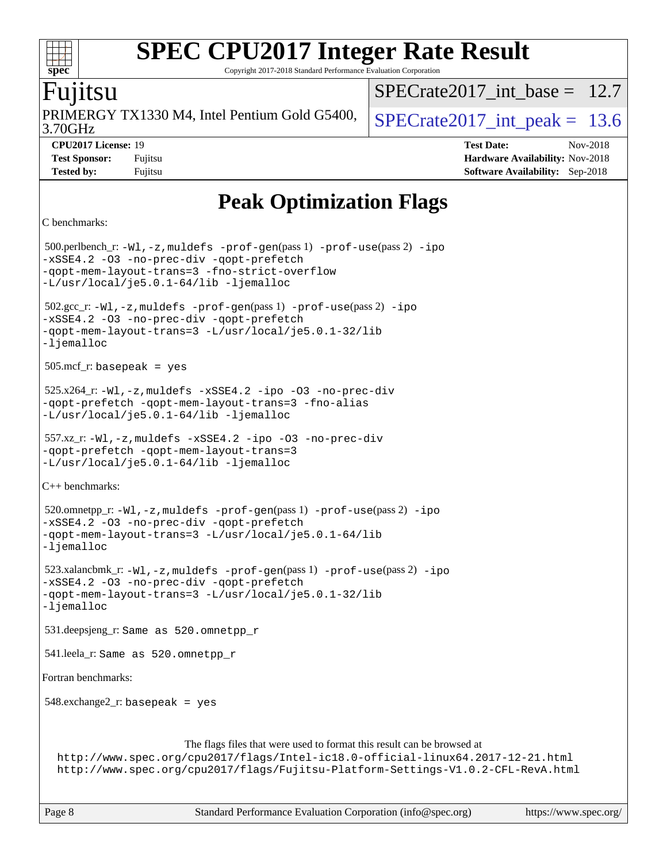Copyright 2017-2018 Standard Performance Evaluation Corporation

### untsu

**[spec](http://www.spec.org/)**

 $^{++}$ 

3.70GHz PRIMERGY TX1330 M4, Intel Pentium Gold G5400,  $\vert$  SPECrate 2017 int peak = 13.6

SPECrate2017 int\_base =  $12.7$ 

**[CPU2017 License:](http://www.spec.org/auto/cpu2017/Docs/result-fields.html#CPU2017License)** 19 **[Test Date:](http://www.spec.org/auto/cpu2017/Docs/result-fields.html#TestDate)** Nov-2018 **[Test Sponsor:](http://www.spec.org/auto/cpu2017/Docs/result-fields.html#TestSponsor)** Fujitsu **Fundal** Fujitsu **[Hardware Availability:](http://www.spec.org/auto/cpu2017/Docs/result-fields.html#HardwareAvailability)** Nov-2018 **[Tested by:](http://www.spec.org/auto/cpu2017/Docs/result-fields.html#Testedby)** Fujitsu **[Software Availability:](http://www.spec.org/auto/cpu2017/Docs/result-fields.html#SoftwareAvailability)** Sep-2018

## **[Peak Optimization Flags](http://www.spec.org/auto/cpu2017/Docs/result-fields.html#PeakOptimizationFlags)**

```
C benchmarks:
```
 500.perlbench\_r: [-Wl,-z,muldefs](http://www.spec.org/cpu2017/results/res2018q4/cpu2017-20181113-09790.flags.html#user_peakEXTRA_LDFLAGS500_perlbench_r_link_force_multiple1_b4cbdb97b34bdee9ceefcfe54f4c8ea74255f0b02a4b23e853cdb0e18eb4525ac79b5a88067c842dd0ee6996c24547a27a4b99331201badda8798ef8a743f577) [-prof-gen](http://www.spec.org/cpu2017/results/res2018q4/cpu2017-20181113-09790.flags.html#user_peakPASS1_CFLAGSPASS1_LDFLAGS500_perlbench_r_prof_gen_5aa4926d6013ddb2a31985c654b3eb18169fc0c6952a63635c234f711e6e63dd76e94ad52365559451ec499a2cdb89e4dc58ba4c67ef54ca681ffbe1461d6b36)(pass 1) [-prof-use](http://www.spec.org/cpu2017/results/res2018q4/cpu2017-20181113-09790.flags.html#user_peakPASS2_CFLAGSPASS2_LDFLAGS500_perlbench_r_prof_use_1a21ceae95f36a2b53c25747139a6c16ca95bd9def2a207b4f0849963b97e94f5260e30a0c64f4bb623698870e679ca08317ef8150905d41bd88c6f78df73f19)(pass 2) [-ipo](http://www.spec.org/cpu2017/results/res2018q4/cpu2017-20181113-09790.flags.html#user_peakPASS1_COPTIMIZEPASS2_COPTIMIZE500_perlbench_r_f-ipo) [-xSSE4.2](http://www.spec.org/cpu2017/results/res2018q4/cpu2017-20181113-09790.flags.html#user_peakPASS2_COPTIMIZE500_perlbench_r_f-xSSE42_d85b2ac37ddc90662d11f1a4a8dc959d40ee6b8c1b95cdec45efdeb6594938334ecec49699063ec518cad6ffb0ae5f89c6821e9beeb549020603d53f71a41bf5) [-O3](http://www.spec.org/cpu2017/results/res2018q4/cpu2017-20181113-09790.flags.html#user_peakPASS1_COPTIMIZEPASS2_COPTIMIZE500_perlbench_r_f-O3) [-no-prec-div](http://www.spec.org/cpu2017/results/res2018q4/cpu2017-20181113-09790.flags.html#user_peakPASS1_COPTIMIZEPASS2_COPTIMIZE500_perlbench_r_f-no-prec-div) [-qopt-prefetch](http://www.spec.org/cpu2017/results/res2018q4/cpu2017-20181113-09790.flags.html#user_peakPASS1_COPTIMIZEPASS2_COPTIMIZE500_perlbench_r_f-qopt-prefetch) [-qopt-mem-layout-trans=3](http://www.spec.org/cpu2017/results/res2018q4/cpu2017-20181113-09790.flags.html#user_peakPASS1_COPTIMIZEPASS2_COPTIMIZE500_perlbench_r_f-qopt-mem-layout-trans_de80db37974c74b1f0e20d883f0b675c88c3b01e9d123adea9b28688d64333345fb62bc4a798493513fdb68f60282f9a726aa07f478b2f7113531aecce732043) [-fno-strict-overflow](http://www.spec.org/cpu2017/results/res2018q4/cpu2017-20181113-09790.flags.html#user_peakEXTRA_OPTIMIZE500_perlbench_r_f-fno-strict-overflow) [-L/usr/local/je5.0.1-64/lib](http://www.spec.org/cpu2017/results/res2018q4/cpu2017-20181113-09790.flags.html#user_peakEXTRA_LIBS500_perlbench_r_jemalloc_link_path64_4b10a636b7bce113509b17f3bd0d6226c5fb2346b9178c2d0232c14f04ab830f976640479e5c33dc2bcbbdad86ecfb6634cbbd4418746f06f368b512fced5394) [-ljemalloc](http://www.spec.org/cpu2017/results/res2018q4/cpu2017-20181113-09790.flags.html#user_peakEXTRA_LIBS500_perlbench_r_jemalloc_link_lib_d1249b907c500fa1c0672f44f562e3d0f79738ae9e3c4a9c376d49f265a04b9c99b167ecedbf6711b3085be911c67ff61f150a17b3472be731631ba4d0471706) 502.gcc\_r: [-Wl,-z,muldefs](http://www.spec.org/cpu2017/results/res2018q4/cpu2017-20181113-09790.flags.html#user_peakEXTRA_LDFLAGS502_gcc_r_link_force_multiple1_b4cbdb97b34bdee9ceefcfe54f4c8ea74255f0b02a4b23e853cdb0e18eb4525ac79b5a88067c842dd0ee6996c24547a27a4b99331201badda8798ef8a743f577) [-prof-gen](http://www.spec.org/cpu2017/results/res2018q4/cpu2017-20181113-09790.flags.html#user_peakPASS1_CFLAGSPASS1_LDFLAGS502_gcc_r_prof_gen_5aa4926d6013ddb2a31985c654b3eb18169fc0c6952a63635c234f711e6e63dd76e94ad52365559451ec499a2cdb89e4dc58ba4c67ef54ca681ffbe1461d6b36)(pass 1) [-prof-use](http://www.spec.org/cpu2017/results/res2018q4/cpu2017-20181113-09790.flags.html#user_peakPASS2_CFLAGSPASS2_LDFLAGS502_gcc_r_prof_use_1a21ceae95f36a2b53c25747139a6c16ca95bd9def2a207b4f0849963b97e94f5260e30a0c64f4bb623698870e679ca08317ef8150905d41bd88c6f78df73f19)(pass 2) [-ipo](http://www.spec.org/cpu2017/results/res2018q4/cpu2017-20181113-09790.flags.html#user_peakPASS1_COPTIMIZEPASS2_COPTIMIZE502_gcc_r_f-ipo) [-xSSE4.2](http://www.spec.org/cpu2017/results/res2018q4/cpu2017-20181113-09790.flags.html#user_peakPASS2_COPTIMIZE502_gcc_r_f-xSSE42_d85b2ac37ddc90662d11f1a4a8dc959d40ee6b8c1b95cdec45efdeb6594938334ecec49699063ec518cad6ffb0ae5f89c6821e9beeb549020603d53f71a41bf5) [-O3](http://www.spec.org/cpu2017/results/res2018q4/cpu2017-20181113-09790.flags.html#user_peakPASS1_COPTIMIZEPASS2_COPTIMIZE502_gcc_r_f-O3) [-no-prec-div](http://www.spec.org/cpu2017/results/res2018q4/cpu2017-20181113-09790.flags.html#user_peakPASS1_COPTIMIZEPASS2_COPTIMIZE502_gcc_r_f-no-prec-div) [-qopt-prefetch](http://www.spec.org/cpu2017/results/res2018q4/cpu2017-20181113-09790.flags.html#user_peakPASS1_COPTIMIZEPASS2_COPTIMIZE502_gcc_r_f-qopt-prefetch) [-qopt-mem-layout-trans=3](http://www.spec.org/cpu2017/results/res2018q4/cpu2017-20181113-09790.flags.html#user_peakPASS1_COPTIMIZEPASS2_COPTIMIZE502_gcc_r_f-qopt-mem-layout-trans_de80db37974c74b1f0e20d883f0b675c88c3b01e9d123adea9b28688d64333345fb62bc4a798493513fdb68f60282f9a726aa07f478b2f7113531aecce732043) [-L/usr/local/je5.0.1-32/lib](http://www.spec.org/cpu2017/results/res2018q4/cpu2017-20181113-09790.flags.html#user_peakEXTRA_LIBS502_gcc_r_jemalloc_link_path32_e29f22e8e6c17053bbc6a0971f5a9c01a601a06bb1a59df2084b77a2fe0a2995b64fd4256feaeea39eeba3aae142e96e2b2b0a28974019c0c0c88139a84f900a) [-ljemalloc](http://www.spec.org/cpu2017/results/res2018q4/cpu2017-20181113-09790.flags.html#user_peakEXTRA_LIBS502_gcc_r_jemalloc_link_lib_d1249b907c500fa1c0672f44f562e3d0f79738ae9e3c4a9c376d49f265a04b9c99b167ecedbf6711b3085be911c67ff61f150a17b3472be731631ba4d0471706) 505.mcf\_r: basepeak = yes 525.x264\_r: [-Wl,-z,muldefs](http://www.spec.org/cpu2017/results/res2018q4/cpu2017-20181113-09790.flags.html#user_peakEXTRA_LDFLAGS525_x264_r_link_force_multiple1_b4cbdb97b34bdee9ceefcfe54f4c8ea74255f0b02a4b23e853cdb0e18eb4525ac79b5a88067c842dd0ee6996c24547a27a4b99331201badda8798ef8a743f577) [-xSSE4.2](http://www.spec.org/cpu2017/results/res2018q4/cpu2017-20181113-09790.flags.html#user_peakCOPTIMIZE525_x264_r_f-xSSE42_d85b2ac37ddc90662d11f1a4a8dc959d40ee6b8c1b95cdec45efdeb6594938334ecec49699063ec518cad6ffb0ae5f89c6821e9beeb549020603d53f71a41bf5) [-ipo](http://www.spec.org/cpu2017/results/res2018q4/cpu2017-20181113-09790.flags.html#user_peakCOPTIMIZE525_x264_r_f-ipo) [-O3](http://www.spec.org/cpu2017/results/res2018q4/cpu2017-20181113-09790.flags.html#user_peakCOPTIMIZE525_x264_r_f-O3) [-no-prec-div](http://www.spec.org/cpu2017/results/res2018q4/cpu2017-20181113-09790.flags.html#user_peakCOPTIMIZE525_x264_r_f-no-prec-div) [-qopt-prefetch](http://www.spec.org/cpu2017/results/res2018q4/cpu2017-20181113-09790.flags.html#user_peakCOPTIMIZE525_x264_r_f-qopt-prefetch) [-qopt-mem-layout-trans=3](http://www.spec.org/cpu2017/results/res2018q4/cpu2017-20181113-09790.flags.html#user_peakCOPTIMIZE525_x264_r_f-qopt-mem-layout-trans_de80db37974c74b1f0e20d883f0b675c88c3b01e9d123adea9b28688d64333345fb62bc4a798493513fdb68f60282f9a726aa07f478b2f7113531aecce732043) [-fno-alias](http://www.spec.org/cpu2017/results/res2018q4/cpu2017-20181113-09790.flags.html#user_peakEXTRA_OPTIMIZE525_x264_r_f-no-alias_77dbac10d91cbfe898fbf4a29d1b29b694089caa623bdd1baccc9957d4edbe8d106c0b357e2748a65b44fc9e83d78098bb898077f3fe92f9faf24f7bd4a07ed7) [-L/usr/local/je5.0.1-64/lib](http://www.spec.org/cpu2017/results/res2018q4/cpu2017-20181113-09790.flags.html#user_peakEXTRA_LIBS525_x264_r_jemalloc_link_path64_4b10a636b7bce113509b17f3bd0d6226c5fb2346b9178c2d0232c14f04ab830f976640479e5c33dc2bcbbdad86ecfb6634cbbd4418746f06f368b512fced5394) [-ljemalloc](http://www.spec.org/cpu2017/results/res2018q4/cpu2017-20181113-09790.flags.html#user_peakEXTRA_LIBS525_x264_r_jemalloc_link_lib_d1249b907c500fa1c0672f44f562e3d0f79738ae9e3c4a9c376d49f265a04b9c99b167ecedbf6711b3085be911c67ff61f150a17b3472be731631ba4d0471706) 557.xz\_r: [-Wl,-z,muldefs](http://www.spec.org/cpu2017/results/res2018q4/cpu2017-20181113-09790.flags.html#user_peakEXTRA_LDFLAGS557_xz_r_link_force_multiple1_b4cbdb97b34bdee9ceefcfe54f4c8ea74255f0b02a4b23e853cdb0e18eb4525ac79b5a88067c842dd0ee6996c24547a27a4b99331201badda8798ef8a743f577) [-xSSE4.2](http://www.spec.org/cpu2017/results/res2018q4/cpu2017-20181113-09790.flags.html#user_peakCOPTIMIZE557_xz_r_f-xSSE42_d85b2ac37ddc90662d11f1a4a8dc959d40ee6b8c1b95cdec45efdeb6594938334ecec49699063ec518cad6ffb0ae5f89c6821e9beeb549020603d53f71a41bf5) [-ipo](http://www.spec.org/cpu2017/results/res2018q4/cpu2017-20181113-09790.flags.html#user_peakCOPTIMIZE557_xz_r_f-ipo) [-O3](http://www.spec.org/cpu2017/results/res2018q4/cpu2017-20181113-09790.flags.html#user_peakCOPTIMIZE557_xz_r_f-O3) [-no-prec-div](http://www.spec.org/cpu2017/results/res2018q4/cpu2017-20181113-09790.flags.html#user_peakCOPTIMIZE557_xz_r_f-no-prec-div) [-qopt-prefetch](http://www.spec.org/cpu2017/results/res2018q4/cpu2017-20181113-09790.flags.html#user_peakCOPTIMIZE557_xz_r_f-qopt-prefetch) [-qopt-mem-layout-trans=3](http://www.spec.org/cpu2017/results/res2018q4/cpu2017-20181113-09790.flags.html#user_peakCOPTIMIZE557_xz_r_f-qopt-mem-layout-trans_de80db37974c74b1f0e20d883f0b675c88c3b01e9d123adea9b28688d64333345fb62bc4a798493513fdb68f60282f9a726aa07f478b2f7113531aecce732043) [-L/usr/local/je5.0.1-64/lib](http://www.spec.org/cpu2017/results/res2018q4/cpu2017-20181113-09790.flags.html#user_peakEXTRA_LIBS557_xz_r_jemalloc_link_path64_4b10a636b7bce113509b17f3bd0d6226c5fb2346b9178c2d0232c14f04ab830f976640479e5c33dc2bcbbdad86ecfb6634cbbd4418746f06f368b512fced5394) [-ljemalloc](http://www.spec.org/cpu2017/results/res2018q4/cpu2017-20181113-09790.flags.html#user_peakEXTRA_LIBS557_xz_r_jemalloc_link_lib_d1249b907c500fa1c0672f44f562e3d0f79738ae9e3c4a9c376d49f265a04b9c99b167ecedbf6711b3085be911c67ff61f150a17b3472be731631ba4d0471706) [C++ benchmarks](http://www.spec.org/auto/cpu2017/Docs/result-fields.html#CXXbenchmarks): 520.omnetpp\_r: [-Wl,-z,muldefs](http://www.spec.org/cpu2017/results/res2018q4/cpu2017-20181113-09790.flags.html#user_peakEXTRA_LDFLAGS520_omnetpp_r_link_force_multiple1_b4cbdb97b34bdee9ceefcfe54f4c8ea74255f0b02a4b23e853cdb0e18eb4525ac79b5a88067c842dd0ee6996c24547a27a4b99331201badda8798ef8a743f577) [-prof-gen](http://www.spec.org/cpu2017/results/res2018q4/cpu2017-20181113-09790.flags.html#user_peakPASS1_CXXFLAGSPASS1_LDFLAGS520_omnetpp_r_prof_gen_5aa4926d6013ddb2a31985c654b3eb18169fc0c6952a63635c234f711e6e63dd76e94ad52365559451ec499a2cdb89e4dc58ba4c67ef54ca681ffbe1461d6b36)(pass 1) [-prof-use](http://www.spec.org/cpu2017/results/res2018q4/cpu2017-20181113-09790.flags.html#user_peakPASS2_CXXFLAGSPASS2_LDFLAGS520_omnetpp_r_prof_use_1a21ceae95f36a2b53c25747139a6c16ca95bd9def2a207b4f0849963b97e94f5260e30a0c64f4bb623698870e679ca08317ef8150905d41bd88c6f78df73f19)(pass 2) [-ipo](http://www.spec.org/cpu2017/results/res2018q4/cpu2017-20181113-09790.flags.html#user_peakPASS1_CXXOPTIMIZEPASS2_CXXOPTIMIZE520_omnetpp_r_f-ipo) [-xSSE4.2](http://www.spec.org/cpu2017/results/res2018q4/cpu2017-20181113-09790.flags.html#user_peakPASS2_CXXOPTIMIZE520_omnetpp_r_f-xSSE42_d85b2ac37ddc90662d11f1a4a8dc959d40ee6b8c1b95cdec45efdeb6594938334ecec49699063ec518cad6ffb0ae5f89c6821e9beeb549020603d53f71a41bf5) [-O3](http://www.spec.org/cpu2017/results/res2018q4/cpu2017-20181113-09790.flags.html#user_peakPASS1_CXXOPTIMIZEPASS2_CXXOPTIMIZE520_omnetpp_r_f-O3) [-no-prec-div](http://www.spec.org/cpu2017/results/res2018q4/cpu2017-20181113-09790.flags.html#user_peakPASS1_CXXOPTIMIZEPASS2_CXXOPTIMIZE520_omnetpp_r_f-no-prec-div) [-qopt-prefetch](http://www.spec.org/cpu2017/results/res2018q4/cpu2017-20181113-09790.flags.html#user_peakPASS1_CXXOPTIMIZEPASS2_CXXOPTIMIZE520_omnetpp_r_f-qopt-prefetch) [-qopt-mem-layout-trans=3](http://www.spec.org/cpu2017/results/res2018q4/cpu2017-20181113-09790.flags.html#user_peakPASS1_CXXOPTIMIZEPASS2_CXXOPTIMIZE520_omnetpp_r_f-qopt-mem-layout-trans_de80db37974c74b1f0e20d883f0b675c88c3b01e9d123adea9b28688d64333345fb62bc4a798493513fdb68f60282f9a726aa07f478b2f7113531aecce732043) [-L/usr/local/je5.0.1-64/lib](http://www.spec.org/cpu2017/results/res2018q4/cpu2017-20181113-09790.flags.html#user_peakEXTRA_LIBS520_omnetpp_r_jemalloc_link_path64_4b10a636b7bce113509b17f3bd0d6226c5fb2346b9178c2d0232c14f04ab830f976640479e5c33dc2bcbbdad86ecfb6634cbbd4418746f06f368b512fced5394) [-ljemalloc](http://www.spec.org/cpu2017/results/res2018q4/cpu2017-20181113-09790.flags.html#user_peakEXTRA_LIBS520_omnetpp_r_jemalloc_link_lib_d1249b907c500fa1c0672f44f562e3d0f79738ae9e3c4a9c376d49f265a04b9c99b167ecedbf6711b3085be911c67ff61f150a17b3472be731631ba4d0471706) 523.xalancbmk\_r:  $-W1$ ,  $-z$ , muldefs  $-prof-qen(pass 1)$   $-prof-use(pass 2) -ipo$  $-prof-use(pass 2) -ipo$  $-prof-use(pass 2) -ipo$ [-xSSE4.2](http://www.spec.org/cpu2017/results/res2018q4/cpu2017-20181113-09790.flags.html#user_peakPASS2_CXXOPTIMIZE523_xalancbmk_r_f-xSSE42_d85b2ac37ddc90662d11f1a4a8dc959d40ee6b8c1b95cdec45efdeb6594938334ecec49699063ec518cad6ffb0ae5f89c6821e9beeb549020603d53f71a41bf5) [-O3](http://www.spec.org/cpu2017/results/res2018q4/cpu2017-20181113-09790.flags.html#user_peakPASS1_CXXOPTIMIZEPASS2_CXXOPTIMIZE523_xalancbmk_r_f-O3) [-no-prec-div](http://www.spec.org/cpu2017/results/res2018q4/cpu2017-20181113-09790.flags.html#user_peakPASS1_CXXOPTIMIZEPASS2_CXXOPTIMIZE523_xalancbmk_r_f-no-prec-div) [-qopt-prefetch](http://www.spec.org/cpu2017/results/res2018q4/cpu2017-20181113-09790.flags.html#user_peakPASS1_CXXOPTIMIZEPASS2_CXXOPTIMIZE523_xalancbmk_r_f-qopt-prefetch) [-qopt-mem-layout-trans=3](http://www.spec.org/cpu2017/results/res2018q4/cpu2017-20181113-09790.flags.html#user_peakPASS1_CXXOPTIMIZEPASS2_CXXOPTIMIZE523_xalancbmk_r_f-qopt-mem-layout-trans_de80db37974c74b1f0e20d883f0b675c88c3b01e9d123adea9b28688d64333345fb62bc4a798493513fdb68f60282f9a726aa07f478b2f7113531aecce732043) [-L/usr/local/je5.0.1-32/lib](http://www.spec.org/cpu2017/results/res2018q4/cpu2017-20181113-09790.flags.html#user_peakEXTRA_LIBS523_xalancbmk_r_jemalloc_link_path32_e29f22e8e6c17053bbc6a0971f5a9c01a601a06bb1a59df2084b77a2fe0a2995b64fd4256feaeea39eeba3aae142e96e2b2b0a28974019c0c0c88139a84f900a) [-ljemalloc](http://www.spec.org/cpu2017/results/res2018q4/cpu2017-20181113-09790.flags.html#user_peakEXTRA_LIBS523_xalancbmk_r_jemalloc_link_lib_d1249b907c500fa1c0672f44f562e3d0f79738ae9e3c4a9c376d49f265a04b9c99b167ecedbf6711b3085be911c67ff61f150a17b3472be731631ba4d0471706) 531.deepsjeng\_r: Same as 520.omnetpp\_r 541.leela\_r: Same as 520.omnetpp\_r [Fortran benchmarks:](http://www.spec.org/auto/cpu2017/Docs/result-fields.html#Fortranbenchmarks) 548.exchange2\_r: basepeak = yes The flags files that were used to format this result can be browsed at <http://www.spec.org/cpu2017/flags/Intel-ic18.0-official-linux64.2017-12-21.html> <http://www.spec.org/cpu2017/flags/Fujitsu-Platform-Settings-V1.0.2-CFL-RevA.html>